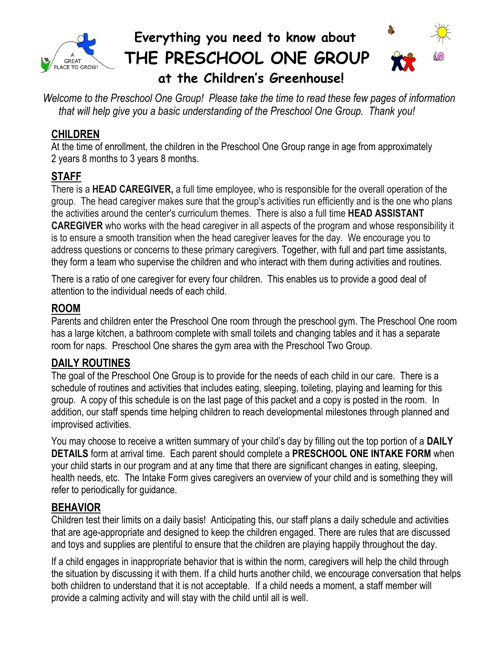

# **Everything you need to know about THE PRESCHOOL ONE GROUP**

# **at the Children's Greenhouse!**

*Welcome to the Preschool One Group! Please take the time to read these few pages of information that will help give you a basic understanding of the Preschool One Group. Thank you!*

#### **CHILDREN**

At the time of enrollment, the children in the Preschool One Group range in age from approximately 2 years 8 months to 3 years 8 months.

#### **STAFF**

There is a **HEAD CAREGIVER,** a full time employee, who is responsible for the overall operation of the group. The head caregiver makes sure that the group's activities run efficiently and is the one who plans the activities around the center's curriculum themes. There is also a full time **HEAD ASSISTANT CAREGIVER** who works with the head caregiver in all aspects of the program and whose responsibility it is to ensure a smooth transition when the head caregiver leaves for the day. We encourage you to address questions or concerns to these primary caregivers. Together, with full and part time assistants, they form a team who supervise the children and who interact with them during activities and routines.

There is a ratio of one caregiver for every four children. This enables us to provide a good deal of attention to the individual needs of each child.

#### **ROOM**

Parents and children enter the Preschool One room through the preschool gym. The Preschool One room has a large kitchen, a bathroom complete with small toilets and changing tables and it has a separate room for naps. Preschool One shares the gym area with the Preschool Two Group.

#### **DAILY ROUTINES**

The goal of the Preschool One Group is to provide for the needs of each child in our care. There is a schedule of routines and activities that includes eating, sleeping, toileting, playing and learning for this group. A copy of this schedule is on the last page of this packet and a copy is posted in the room. In addition, our staff spends time helping children to reach developmental milestones through planned and improvised activities.

You may choose to receive a written summary of your child's day by filling out the top portion of a **DAILY DETAILS** form at arrival time. Each parent should complete a **PRESCHOOL ONE INTAKE FORM** when your child starts in our program and at any time that there are significant changes in eating, sleeping, health needs, etc. The Intake Form gives caregivers an overview of your child and is something they will refer to periodically for guidance.

# **BEHAVIOR**

Children test their limits on a daily basis! Anticipating this, our staff plans a daily schedule and activities that are age-appropriate and designed to keep the children engaged. There are rules that are discussed and toys and supplies are plentiful to ensure that the children are playing happily throughout the day.

If a child engages in inappropriate behavior that is within the norm, caregivers will help the child through the situation by discussing it with them. If a child hurts another child, we encourage conversation that helps both children to understand that it is not acceptable. If a child needs a moment, a staff member will provide a calming activity and will stay with the child until all is well.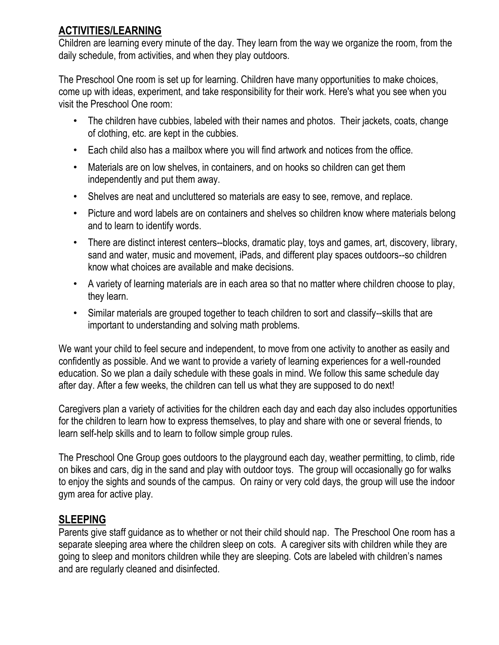# **ACTIVITIES/LEARNING**

Children are learning every minute of the day. They learn from the way we organize the room, from the daily schedule, from activities, and when they play outdoors.

The Preschool One room is set up for learning. Children have many opportunities to make choices, come up with ideas, experiment, and take responsibility for their work. Here's what you see when you visit the Preschool One room:

- The children have cubbies, labeled with their names and photos. Their jackets, coats, change of clothing, etc. are kept in the cubbies.
- Each child also has a mailbox where you will find artwork and notices from the office.
- Materials are on low shelves, in containers, and on hooks so children can get them independently and put them away.
- Shelves are neat and uncluttered so materials are easy to see, remove, and replace.
- Picture and word labels are on containers and shelves so children know where materials belong and to learn to identify words.
- There are distinct interest centers--blocks, dramatic play, toys and games, art, discovery, library, sand and water, music and movement, iPads, and different play spaces outdoors--so children know what choices are available and make decisions.
- A variety of learning materials are in each area so that no matter where children choose to play, they learn.
- Similar materials are grouped together to teach children to sort and classify--skills that are important to understanding and solving math problems.

We want your child to feel secure and independent, to move from one activity to another as easily and confidently as possible. And we want to provide a variety of learning experiences for a well-rounded education. So we plan a daily schedule with these goals in mind. We follow this same schedule day after day. After a few weeks, the children can tell us what they are supposed to do next!

Caregivers plan a variety of activities for the children each day and each day also includes opportunities for the children to learn how to express themselves, to play and share with one or several friends, to learn self-help skills and to learn to follow simple group rules.

The Preschool One Group goes outdoors to the playground each day, weather permitting, to climb, ride on bikes and cars, dig in the sand and play with outdoor toys. The group will occasionally go for walks to enjoy the sights and sounds of the campus. On rainy or very cold days, the group will use the indoor gym area for active play.

# **SLEEPING**

Parents give staff guidance as to whether or not their child should nap. The Preschool One room has a separate sleeping area where the children sleep on cots. A caregiver sits with children while they are going to sleep and monitors children while they are sleeping. Cots are labeled with children's names and are regularly cleaned and disinfected.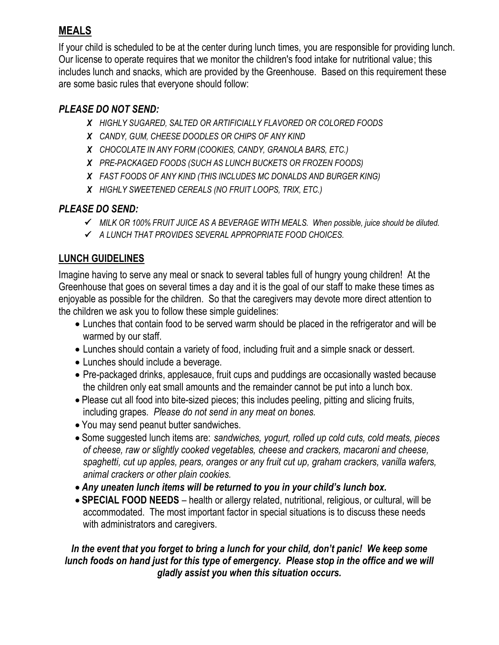# **MEALS**

If your child is scheduled to be at the center during lunch times, you are responsible for providing lunch. Our license to operate requires that we monitor the children's food intake for nutritional value; this includes lunch and snacks, which are provided by the Greenhouse. Based on this requirement these are some basic rules that everyone should follow:

#### *PLEASE DO NOT SEND:*

- *X HIGHLY SUGARED, SALTED OR ARTIFICIALLY FLAVORED OR COLORED FOODS*
- *X CANDY, GUM, CHEESE DOODLES OR CHIPS OF ANY KIND*
- *X CHOCOLATE IN ANY FORM (COOKIES, CANDY, GRANOLA BARS, ETC.)*
- *X PRE-PACKAGED FOODS (SUCH AS LUNCH BUCKETS OR FROZEN FOODS)*
- *X FAST FOODS OF ANY KIND (THIS INCLUDES MC DONALDS AND BURGER KING)*
- *X HIGHLY SWEETENED CEREALS (NO FRUIT LOOPS, TRIX, ETC.)*

# *PLEASE DO SEND:*

- *MILK OR 100% FRUIT JUICE AS A BEVERAGE WITH MEALS. When possible, juice should be diluted.*
- *A LUNCH THAT PROVIDES SEVERAL APPROPRIATE FOOD CHOICES.*

# **LUNCH GUIDELINES**

Imagine having to serve any meal or snack to several tables full of hungry young children! At the Greenhouse that goes on several times a day and it is the goal of our staff to make these times as enjoyable as possible for the children. So that the caregivers may devote more direct attention to the children we ask you to follow these simple guidelines:

- Lunches that contain food to be served warm should be placed in the refrigerator and will be warmed by our staff.
- Lunches should contain a variety of food, including fruit and a simple snack or dessert.
- Lunches should include a beverage.
- Pre-packaged drinks, applesauce, fruit cups and puddings are occasionally wasted because the children only eat small amounts and the remainder cannot be put into a lunch box.
- Please cut all food into bite-sized pieces; this includes peeling, pitting and slicing fruits, including grapes. *Please do not send in any meat on bones.*
- You may send peanut butter sandwiches.
- Some suggested lunch items are: *sandwiches, yogurt, rolled up cold cuts, cold meats, pieces of cheese, raw or slightly cooked vegetables, cheese and crackers, macaroni and cheese, spaghetti, cut up apples, pears, oranges or any fruit cut up, graham crackers, vanilla wafers, animal crackers or other plain cookies.*
- *Any uneaten lunch items will be returned to you in your child's lunch box.*
- **SPECIAL FOOD NEEDS** health or allergy related, nutritional, religious, or cultural, will be accommodated. The most important factor in special situations is to discuss these needs with administrators and caregivers.

#### *In the event that you forget to bring a lunch for your child, don't panic! We keep some lunch foods on hand just for this type of emergency. Please stop in the office and we will gladly assist you when this situation occurs.*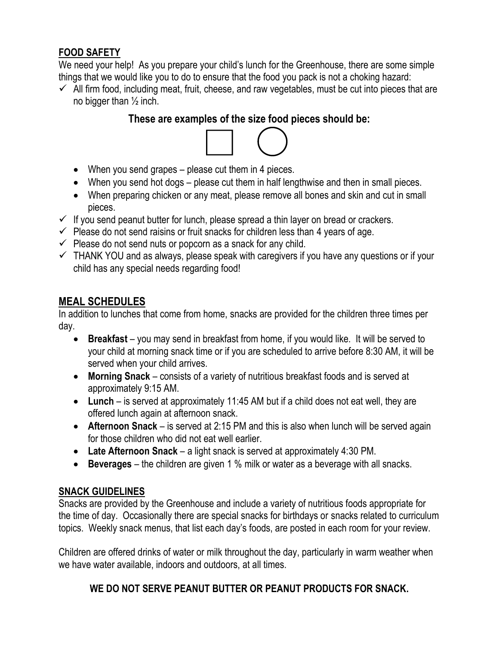#### **FOOD SAFETY**

We need your help! As you prepare your child's lunch for the Greenhouse, there are some simple things that we would like you to do to ensure that the food you pack is not a choking hazard:

 $\checkmark$  All firm food, including meat, fruit, cheese, and raw vegetables, must be cut into pieces that are no bigger than  $\frac{1}{2}$  inch.

#### **These are examples of the size food pieces should be:**



- When you send grapes please cut them in 4 pieces.
- When you send hot dogs please cut them in half lengthwise and then in small pieces.
- When preparing chicken or any meat, please remove all bones and skin and cut in small pieces.
- $\checkmark$  If you send peanut butter for lunch, please spread a thin layer on bread or crackers.
- $\checkmark$  Please do not send raisins or fruit snacks for children less than 4 years of age.
- $\checkmark$  Please do not send nuts or popcorn as a snack for any child.
- $\checkmark$  THANK YOU and as always, please speak with caregivers if you have any questions or if your child has any special needs regarding food!

# **MEAL SCHEDULES**

In addition to lunches that come from home, snacks are provided for the children three times per day.

- **Breakfast** you may send in breakfast from home, if you would like. It will be served to your child at morning snack time or if you are scheduled to arrive before 8:30 AM, it will be served when your child arrives.
- **Morning Snack**  consists of a variety of nutritious breakfast foods and is served at approximately 9:15 AM.
- **Lunch** is served at approximately 11:45 AM but if a child does not eat well, they are offered lunch again at afternoon snack.
- **Afternoon Snack** is served at 2:15 PM and this is also when lunch will be served again for those children who did not eat well earlier.
- **Late Afternoon Snack** a light snack is served at approximately 4:30 PM.
- **Beverages** the children are given 1 % milk or water as a beverage with all snacks.

# **SNACK GUIDELINES**

Snacks are provided by the Greenhouse and include a variety of nutritious foods appropriate for the time of day. Occasionally there are special snacks for birthdays or snacks related to curriculum topics. Weekly snack menus, that list each day's foods, are posted in each room for your review.

Children are offered drinks of water or milk throughout the day, particularly in warm weather when we have water available, indoors and outdoors, at all times.

# **WE DO NOT SERVE PEANUT BUTTER OR PEANUT PRODUCTS FOR SNACK.**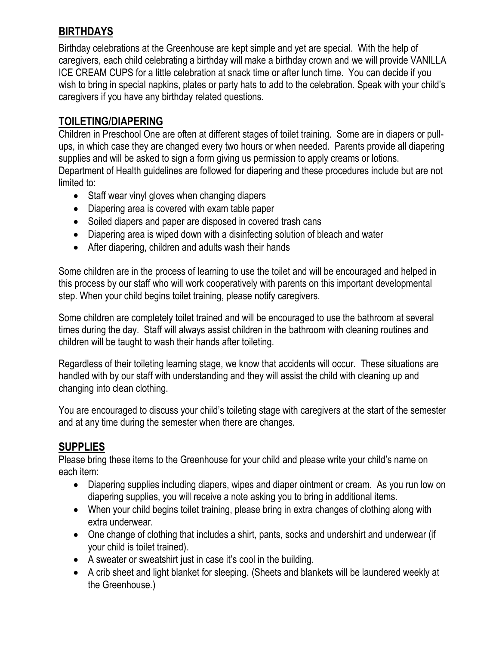# **BIRTHDAYS**

Birthday celebrations at the Greenhouse are kept simple and yet are special. With the help of caregivers, each child celebrating a birthday will make a birthday crown and we will provide VANILLA ICE CREAM CUPS for a little celebration at snack time or after lunch time. You can decide if you wish to bring in special napkins, plates or party hats to add to the celebration. Speak with your child's caregivers if you have any birthday related questions.

#### **TOILETING/DIAPERING**

Children in Preschool One are often at different stages of toilet training. Some are in diapers or pullups, in which case they are changed every two hours or when needed. Parents provide all diapering supplies and will be asked to sign a form giving us permission to apply creams or lotions. Department of Health guidelines are followed for diapering and these procedures include but are not limited to:

- Staff wear vinyl gloves when changing diapers
- Diapering area is covered with exam table paper
- Soiled diapers and paper are disposed in covered trash cans
- Diapering area is wiped down with a disinfecting solution of bleach and water
- After diapering, children and adults wash their hands

Some children are in the process of learning to use the toilet and will be encouraged and helped in this process by our staff who will work cooperatively with parents on this important developmental step. When your child begins toilet training, please notify caregivers.

Some children are completely toilet trained and will be encouraged to use the bathroom at several times during the day. Staff will always assist children in the bathroom with cleaning routines and children will be taught to wash their hands after toileting.

Regardless of their toileting learning stage, we know that accidents will occur. These situations are handled with by our staff with understanding and they will assist the child with cleaning up and changing into clean clothing.

You are encouraged to discuss your child's toileting stage with caregivers at the start of the semester and at any time during the semester when there are changes.

# **SUPPLIES**

Please bring these items to the Greenhouse for your child and please write your child's name on each item:

- Diapering supplies including diapers, wipes and diaper ointment or cream. As you run low on diapering supplies, you will receive a note asking you to bring in additional items.
- When your child begins toilet training, please bring in extra changes of clothing along with extra underwear.
- One change of clothing that includes a shirt, pants, socks and undershirt and underwear (if your child is toilet trained).
- A sweater or sweatshirt just in case it's cool in the building.
- A crib sheet and light blanket for sleeping. (Sheets and blankets will be laundered weekly at the Greenhouse.)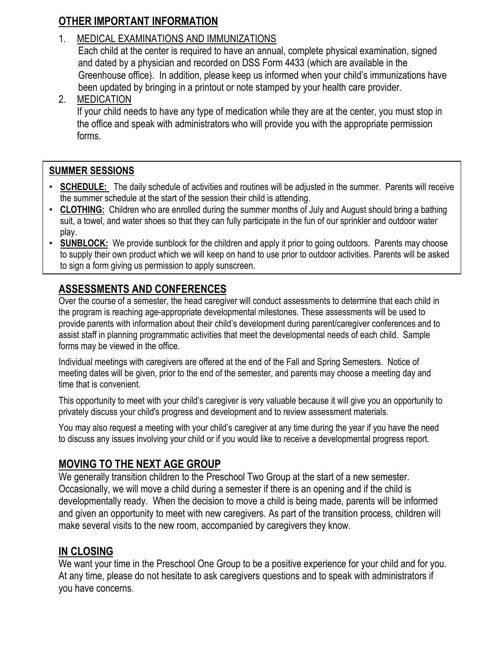# **OTHER IMPORTANT INFORMATION**

#### 1. MEDICAL EXAMINATIONS AND IMMUNIZATIONS

Each child at the center is required to have an annual, complete physical examination, signed and dated by a physician and recorded on DSS Form 4433 (which are available in the Greenhouse office). In addition, please keep us informed when your child's immunizations have been updated by bringing in a printout or note stamped by your health care provider.

2. MEDICATION

If your child needs to have any type of medication while they are at the center, you must stop in the office and speak with administrators who will provide you with the appropriate permission forms.

#### **SUMMER SESSIONS**

•

- **SCHEDULE:** The daily schedule of activities and routines will be adjusted in the summer. Parents will receive the summer schedule at the start of the session their child is attending.
- **CLOTHING:** Children who are enrolled during the summer months of July and August should bring a bathing suit, a towel, and water shoes so that they can fully participate in the fun of our sprinkler and outdoor water play.
- **SUNBLOCK:** We provide sunblock for the children and apply it prior to going outdoors. Parents may choose to supply their own product which we will keep on hand to use prior to outdoor activities. Parents will be asked to sign a form giving us permission to apply sunscreen.

# **ASSESSMENTS AND CONFERENCES**

Over the course of a semester, the head caregiver will conduct assessments to determine that each child in the program is reaching age-appropriate developmental milestones. These assessments will be used to provide parents with information about their child's development during parent/caregiver conferences and to assist staff in planning programmatic activities that meet the developmental needs of each child. Sample forms may be viewed in the office.

Individual meetings with caregivers are offered at the end of the Fall and Spring Semesters. Notice of meeting dates will be given, prior to the end of the semester, and parents may choose a meeting day and time that is convenient.

This opportunity to meet with your child's caregiver is very valuable because it will give you an opportunity to privately discuss your child's progress and development and to review assessment materials.

You may also request a meeting with your child's caregiver at any time during the year if you have the need to discuss any issues involving your child or if you would like to receive a developmental progress report.

# **MOVING TO THE NEXT AGE GROUP**

We generally transition children to the Preschool Two Group at the start of a new semester. Occasionally, we will move a child during a semester if there is an opening and if the child is developmentally ready. When the decision to move a child is being made, parents will be informed and given an opportunity to meet with new caregivers. As part of the transition process, children will make several visits to the new room, accompanied by caregivers they know.

# **IN CLOSING**

We want your time in the Preschool One Group to be a positive experience for your child and for you. At any time, please do not hesitate to ask caregivers questions and to speak with administrators if you have concerns.